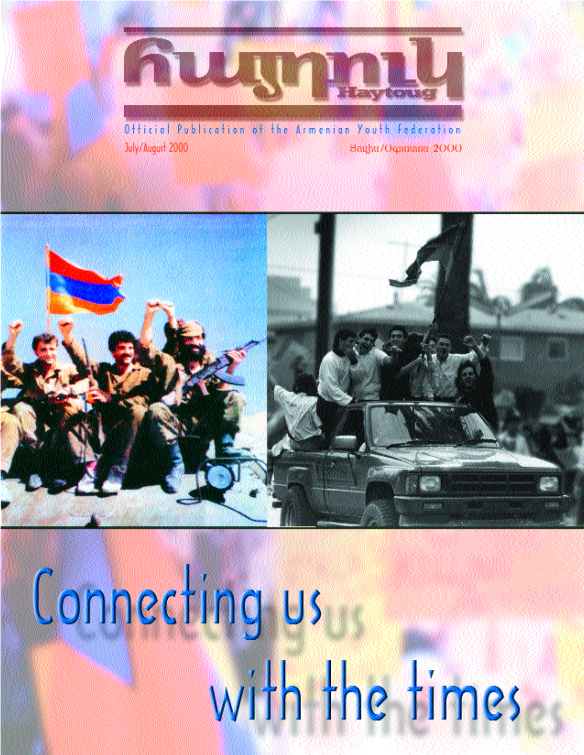

Official Publication of the Armenian Youth Federation July/August 2000 Bright / Ognitianti 2000



Connecting us with the times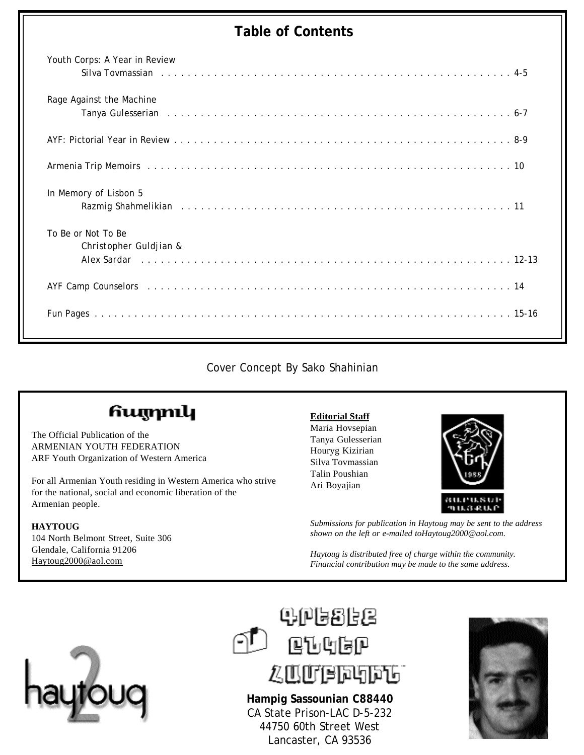#### **Table of Contents**

| Youth Corps: A Year in Review<br>Silva Tovmassian response to the service of the service of the service of the service of the service of the service of the service of the service of the service of the service of the service of the service of the service o |
|-----------------------------------------------------------------------------------------------------------------------------------------------------------------------------------------------------------------------------------------------------------------|
| Rage Against the Machine                                                                                                                                                                                                                                        |
|                                                                                                                                                                                                                                                                 |
| Armenia Trip Memoirs (and all and all and all and all and all and all and all and all and all and all and all a                                                                                                                                                 |
| In Memory of Lisbon 5<br>Razmig Shahmelikian research and the contract of the contract of the contract of the contract of the contract of the contract of the contract of the contract of the contract of the contract of the contract of the contract          |
| To Be or Not To Be<br>Christopher Guldjian &                                                                                                                                                                                                                    |
| AYF Camp Counselors (alternative contract of the contract of the contract of the contract of the contract of the contract of the contract of the contract of the contract of the contract of the contract of the contract of t                                  |
|                                                                                                                                                                                                                                                                 |

Cover Concept By Sako Shahinian

### հայրուկ

The Official Publication of the ARMENIAN YOUTH FEDERATION ARF Youth Organization of Western America

For all Armenian Youth residing in Western America who strive for the national, social and economic liberation of the Armenian people.

#### **HAYTOUG**

104 North Belmont Street, Suite 306 Glendale, California 91206 Haytoug2000@aol.com

#### **Editorial Staff**

Maria Hovsepian Tanya Gulesserian Houryg Kizirian Silva Tovmassian Talin Poushian Ari Boyajian



*Submissions for publication in Haytoug may be sent to the address shown on the left or e-mailed toHaytoug2000@aol.com.*

*Haytoug is distributed free of charge within the community. Financial contribution may be made to the same address.*





**Hampig Sassounian C88440** CA State Prison-LAC D-5-232 44750 60th Street West Lancaster, CA 93536

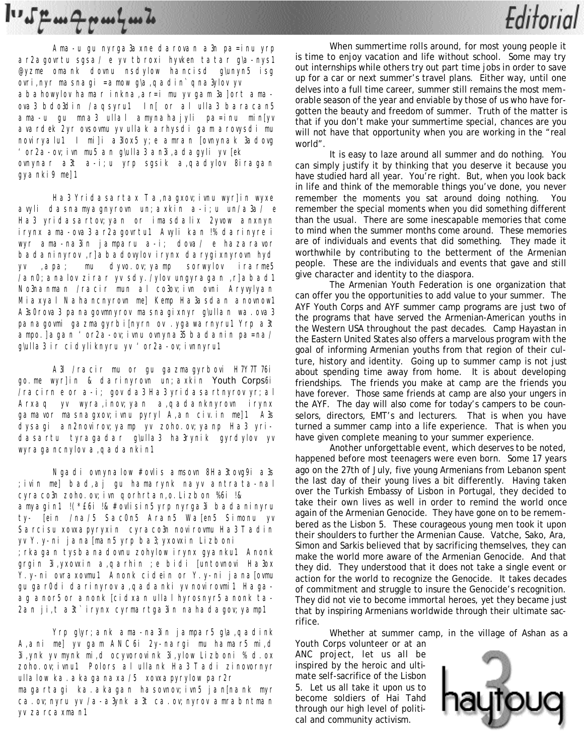## $\mathbf{1} \cdot \mathbf{1} \cdot \mathbf{2} \cdot \mathbf{3} \cdot \mathbf{4} \cdot \mathbf{4} \cdot \mathbf{5} \cdot \mathbf{5} \cdot \mathbf{6} \cdot \mathbf{6} \cdot \mathbf{7} \cdot \mathbf{6} \cdot \mathbf{7} \cdot \mathbf{8} \cdot \mathbf{1} \cdot \mathbf{1} \cdot \mathbf{1} \cdot \mathbf{1} \cdot \mathbf{1} \cdot \mathbf{1} \cdot \mathbf{1} \cdot \mathbf{1} \cdot \mathbf{1} \cdot \mathbf{1} \cdot \mathbf{1} \cdot \mathbf{1} \cdot \mathbf{1} \cdot \mathbf{$

Ama-u gu nyrga3axne darovan a3n pa=inu yrp ar2agovrtu sgsa/ e yv tbroxi hyvken tatar g\a-nys1 @yzme omank dovnu nsdylow hancisd g\unyn5 isg ovri,nyr masnagi =amow g\a,qadin` qna3ylov yv abahowylov hamar inkna,ar=i mu yv gam 3a]ort amaova3 bdo3din /aqsyru1 In[ or al ulla3 baracan5 ama-u gu mna3 ullal amynahajyli pa=inu min[yv avardek 2yr ovsovmu yv ullak arhysdi gam arovysdi mu noviryalu1 I mi]i a3lox5 y;e amran [ovnynak 3adovg 'or2a-ov;ivn mu5 an g\ulla3 an3i,adagyli yv [ek ovnynar a3t a-i;u yrp sgsik a,qadylov 8iragan gyanki9 me]1

Ha3 Yridasartax Ta,nagxov; ivnu wyr]in wyxe avyli dasnamyagnyrovn un;axkin a-i;u un/a3a/ e Ha3 yridasartov;yan or imasdalix 2yvow anxnyn irynx ama-ova3 ar2agovrtu1 Avyli kan !% darinyre i wyr ama-na3in jamparu a-i; dova/ e hazaravor badaninyrov ,r]abadovylov irynx darygixnyrovn hyd yv ,apa; mu dyvo.ov;yamp sorwylov irarme5 /an0;analov zirar yv sdy./ylov ungyragan ,r]abad1 No3nanman /racir mun al co3ov;ivn ovni Aryvylyan Miaxyal Nahancnyrovn me] Kemp Ha3asdan anovnow1 A3s0rova3 panagovmnyrov masnagixnyr g\ullan wa.ova3 panagovmi gazmagyrbi[nyrn ov .ygawarnyru1 Yrp a3t ampo. ]agan 'or2a-ov; ivnu ovnyna35 badanin pa=na/ g\ulla3 ir cidyliknyru yv 'or2a-ov; ivnnyru1

A3l /racir mu or gu gazmagyrbovi H7Y7T76i go.me wyr]in & darinyrovn un;axkin Youth Corps6i /racirn e or a-i; gov da3 Ha3 yridasartnyrov yr;al Arxaq yv wyra,inov;yan a,qadanknyrovn irynx gamavor masnagxov;ivnu pyryl A,an civ.in me]1 A3s dysagi an2novirov;yamp yv zoho.ov;yanp Ha3 yridasartu tyragadar g\ulla3 ha3rynik gyrdylov yv wyragancnylov a,qadankin1

Ngadi ovnynalow #ovlis amsovn 8Ha3tovg9i a3s ;ivin me] bad,aj gu hamarynk nayv antrata-nal cyraco3n zoho.ov;ivn qorhrtan,o.Lizbon %6i !& amyagin1 !(\*£6i !& #ovlisin5 yrp nyrga3i badaninyru ty- [ein /na/5 Sac0n5 Aran5 Wa[en5 Simonu yv Sarcisu xovxapyryxin cyraco3n novirovmu Ha3 Tadin yv Y.y-ni jana[man5 yrp ba3;yxovxin Lizboni ;rkagan tysbanadovnu zohylow irynx gyanku1 Anonk grgin 3i,yxovxin a,qarhin ;e bidi [untovnovi Ha3ox Y.y-ni ovraxovmu1 Anonk cidein or Y.y-ni jana[ovmu gu gar0di darinyrov a,qadanki yv novirovmi1 Hagaag anor5 or anonk [cidxan ullal hyrosnyr5 anonk ta-2an ji,t a3t` irynx cyrmartga3in nahadagov; yamp1

Yrp g\yr;ank ama-na3in jampar5 g\a,qadink A,ani me] yv gam ANC6i 2y-nargi mu hamar5 mi,d 3i,ynk yv mynk mi,d ocyvorovink 3i,ylow Lizboni % d.ox zoho.ov;ivnu1 Polors al ullank Ha3 Tadi zinovornyr ullalow ka. akaganaxa/5 xovxapyrylow par2r magartagi ka.akagan hasovnov;ivn5 jan[nank myr ca.ov; nyru yv /a-a3ynk a3t ca.ov; nyrov amrabntman yv zarcaxman1

When summertime rolls around, for most young people it is time to enjoy vacation and life without school. Some may try out internships while others try out part time jobs in order to save up for a car or next summer's travel plans. Either way, until one delves into a full time career, summer still remains the most memorable season of the year and enviable by those of us who have forgotten the beauty and freedom of summer. Truth of the matter is that if you don't make your summertime special, chances are you will not have that opportunity when you are working in the "real world".

Editorial

It is easy to laze around all summer and do nothing. You can simply justify it by thinking that you deserve it because you have studied hard all year. You're right. But, when you look back in life and think of the memorable things you've done, you never remember the moments you sat around doing nothing. You remember the special moments when you did something different than the usual. There are some inescapable memories that come to mind when the summer months come around. These memories are of individuals and events that did something. They made it worthwhile by contributing to the betterment of the Armenian people. These are the individuals and events that gave and still give character and identity to the diaspora.

The Armenian Youth Federation is one organization that can offer you the opportunities to add value to your summer. The AYF Youth Corps and AYF summer camp programs are just two of the programs that have served the Armenian-American youths in the Western USA throughout the past decades. Camp Hayastan in the Eastern United States also offers a marvelous program with the goal of informing Armenian youths from that region of their culture, history and identity. Going up to summer camp is not just about spending time away from home. It is about developing friendships. The friends you make at camp are the friends you have forever. Those same friends at camp are also your ungers in the AYF. The day will also come for today's campers to be counselors, directors, EMT's and lecturers. That is when you have turned a summer camp into a life experience. That is when you have given complete meaning to your summer experience.

Another unforgettable event, which deserves to be noted, happened before most teenagers were even born. Some 17 years ago on the 27th of July, five young Armenians from Lebanon spent the last day of their young lives a bit differently. Having taken over the Turkish Embassy of Lisbon in Portugal, they decided to take their own lives as well in order to remind the world once again of the Armenian Genocide. They have gone on to be remembered as the Lisbon 5. These courageous young men took it upon their shoulders to further the Armenian Cause. Vatche, Sako, Ara, Simon and Sarkis believed that by sacrificing themselves, they can make the world more aware of the Armenian Genocide. And that they did. They understood that it does not take a single event or action for the world to recognize the Genocide. It takes decades of commitment and struggle to insure the Genocide's recognition. They did not vie to become immortal heroes, yet they became just that by inspiring Armenians worldwide through their ultimate sacrifice.

Whether at summer camp, in the village of Ashan as a

Youth Corps volunteer or at an ANC project, let us all be inspired by the heroic and ultimate self-sacrifice of the Lisbon 5. Let us all take it upon us to become soldiers of Hai Tahd through our high level of political and community activism.

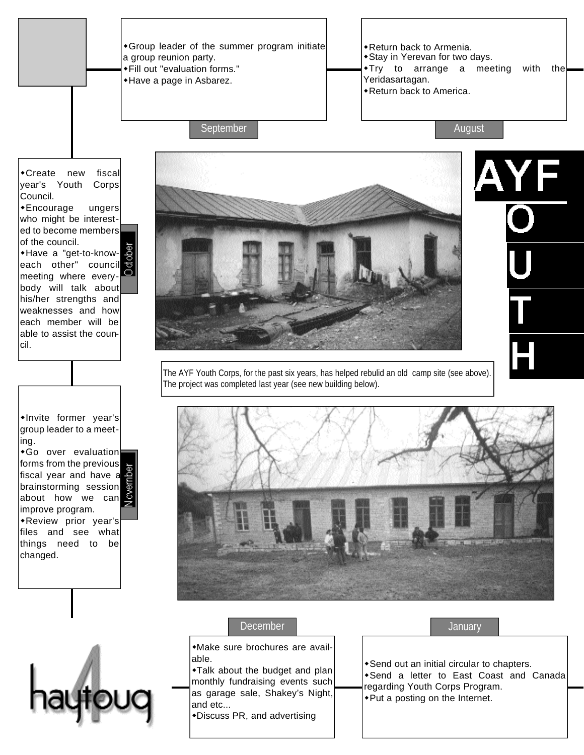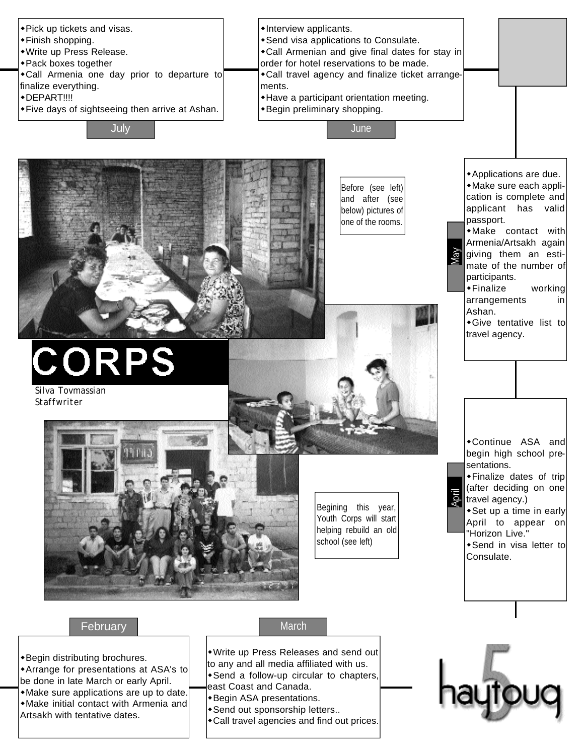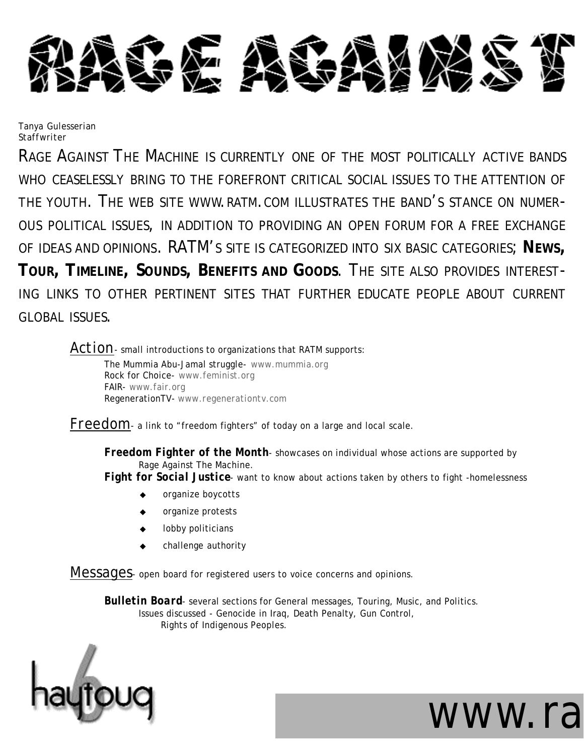

*Tanya Gulesserian Staffwriter*

RAGE AGAINST THE MACHINE IS CURRENTLY ONE OF THE MOST POLITICALLY ACTIVE BANDS WHO CEASELESSLY BRING TO THE FOREFRONT CRITICAL SOCIAL ISSUES TO THE ATTENTION OF THE YOUTH. THE WEB SITE WWW.RATM.COM ILLUSTRATES THE BAND'S STANCE ON NUMER-OUS POLITICAL ISSUES, IN ADDITION TO PROVIDING AN OPEN FORUM FOR A FREE EXCHANGE OF IDEAS AND OPINIONS. RATM'S SITE IS CATEGORIZED INTO SIX BASIC CATEGORIES; **NEWS, TOUR, TIMELINE, SOUNDS, BENEFITS AND GOODS**. THE SITE ALSO PROVIDES INTEREST-ING LINKS TO OTHER PERTINENT SITES THAT FURTHER EDUCATE PEOPLE ABOUT CURRENT GLOBAL ISSUES.

Action- small introductions to organizations that RATM supports:

The Mummia Abu-Jamal struggle- *www.mummia.org* Rock for Choice- *www.feminist.org* FAIR- *www.fair.org* RegenerationTV- *www.regenerationtv.com*

*Freedom*- a link to "freedom fighters" of today on a large and local scale.

*Freedom Fighter of the Month*- showcases on individual whose actions are supported by Rage Against The Machine.

*Fight for Social Justice*- want to know about actions taken by others to fight -homelessness

- organize boycotts
- organize protests
- lobby politicians
- challenge authority

*Messages*- open board for registered users to voice concerns and opinions.

*Bulletin Board*- several sections for General messages, Touring, Music, and Politics. Issues discussed - Genocide in Iraq, Death Penalty, Gun Control, Rights of Indigenous Peoples.



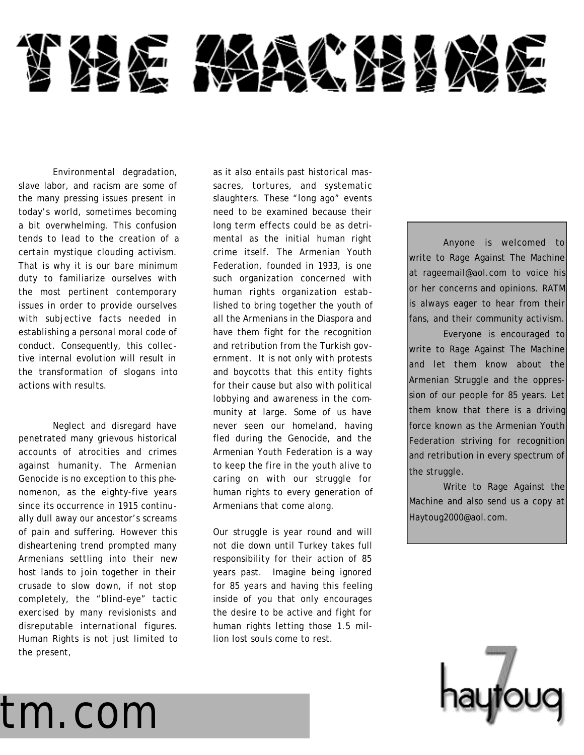

Environmental degradation, slave labor, and racism are some of the many pressing issues present in today's world, sometimes becoming a bit overwhelming. This confusion tends to lead to the creation of a certain mystique clouding activism. That is why it is our bare minimum duty to familiarize ourselves with the most pertinent contemporary issues in order to provide ourselves with subjective facts needed in establishing a personal moral code of conduct. Consequently, this collective internal evolution will result in the transformation of slogans into actions with results.

Neglect and disregard have penetrated many grievous historical accounts of atrocities and crimes against humanity. The Armenian Genocide is no exception to this phenomenon, as the eighty-five years since its occurrence in 1915 continually dull away our ancestor's screams of pain and suffering. However this disheartening trend prompted many Armenians settling into their new host lands to join together in their crusade to slow down, if not stop completely, the "blind-eye" tactic exercised by many revisionists and disreputable international figures. Human Rights is not just limited to the present,

as it also entails past historical massacres, tortures, and systematic slaughters. These "long ago" events need to be examined because their long term effects could be as detrimental as the initial human right crime itself. The Armenian Youth Federation, founded in 1933, is one such organization concerned with human rights organization established to bring together the youth of all the Armenians in the Diaspora and have them fight for the recognition and retribution from the Turkish government. It is not only with protests and boycotts that this entity fights for their cause but also with political lobbying and awareness in the community at large. Some of us have never seen our homeland, having fled during the Genocide, and the Armenian Youth Federation is a way to keep the fire in the youth alive to caring on with our struggle for human rights to every generation of Armenians that come along.

Our struggle is year round and will not die down until Turkey takes full responsibility for their action of 85 years past. Imagine being ignored for 85 years and having this feeling inside of you that only encourages the desire to be active and fight for human rights letting those 1.5 million lost souls come to rest.

Anyone is welcomed to write to Rage Against The Machine at rageemail@aol.com to voice his or her concerns and opinions. RATM is always eager to hear from their fans, and their community activism.

Everyone is encouraged to write to Rage Against The Machine and let them know about the Armenian Struggle and the oppression of our people for 85 years. Let them know that there is a driving force known as the Armenian Youth Federation striving for recognition and retribution in every spectrum of the struggle.

Write to Rage Against the Machine and also send us a copy at Haytoug2000@aol.com.



## atm.com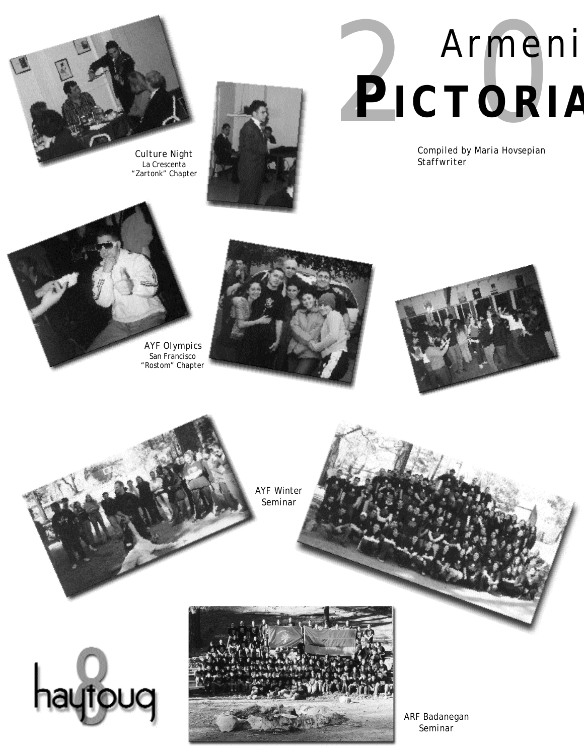

*La Crescenta "Zartonk" Chapter*



# 2000 Armeni PICTORIA

*Compiled by Maria Hovsepian Staffwriter*













*ARF Badanegan Seminar*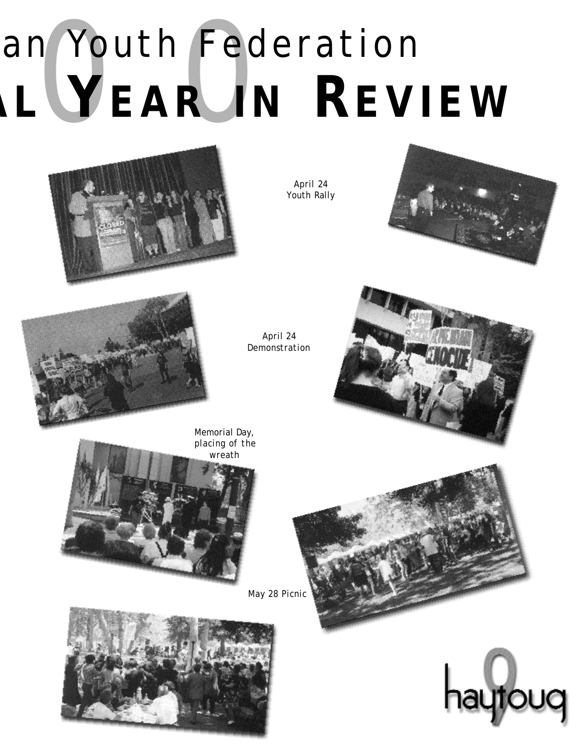# an Youth Fer an Youth Federation **IAL YEAR I N REVIEW**



*April 24 Youth Rally*





*April 24 Demonstration*



*Memorial Day, placing of the*







*May 28 Picnic*

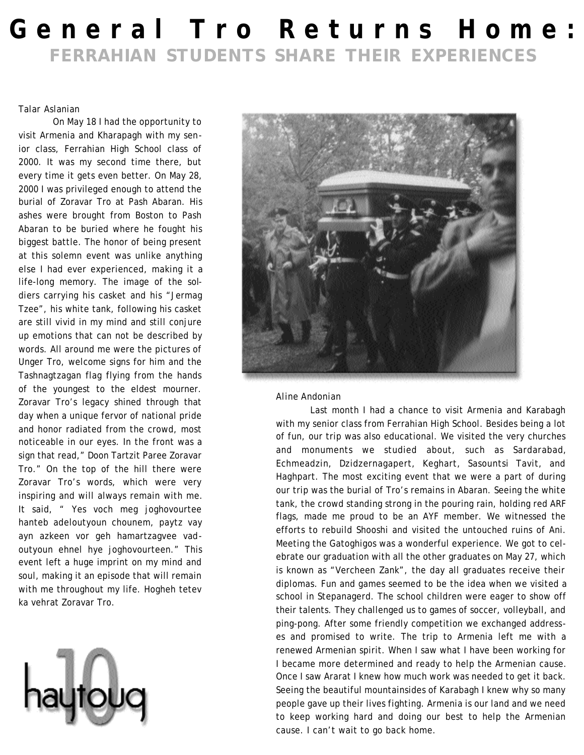## **General Tro Returns Home: FERRAHIAN STUDENTS SHARE THEIR EXPERIENCES**

#### *Talar Aslanian*

On May 18 I had the opportunity to visit Armenia and Kharapagh with my senior class, Ferrahian High School class of 2000. It was my second time there, but every time it gets even better. On May 28, 2000 I was privileged enough to attend the burial of Zoravar Tro at Pash Abaran. His ashes were brought from Boston to Pash Abaran to be buried where he fought his biggest battle. The honor of being present at this solemn event was unlike anything else I had ever experienced, making it a life-long memory. The image of the soldiers carrying his casket and his "Jermag Tzee", his white tank, following his casket are still vivid in my mind and still conjure up emotions that can not be described by words. All around me were the pictures of Unger Tro, welcome signs for him and the Tashnagtzagan flag flying from the hands of the youngest to the eldest mourner. Zoravar Tro's legacy shined through that day when a unique fervor of national pride and honor radiated from the crowd, most noticeable in our eyes. In the front was a sign that read," Doon Tartzit Paree Zoravar Tro." On the top of the hill there were Zoravar Tro's words, which were very inspiring and will always remain with me. It said, " Yes voch meg joghovourtee hanteb adeloutyoun chounem, paytz vay ayn azkeen vor geh hamartzagvee vadoutyoun ehnel hye joghovourteen." This event left a huge imprint on my mind and soul, making it an episode that will remain with me throughout my life. Hogheh tetev ka vehrat Zoravar Tro.





#### *Aline Andonian*

Last month I had a chance to visit Armenia and Karabagh with my senior class from Ferrahian High School. Besides being a lot of fun, our trip was also educational. We visited the very churches and monuments we studied about, such as Sardarabad, Echmeadzin, Dzidzernagapert, Keghart, Sasountsi Tavit, and Haghpart. The most exciting event that we were a part of during our trip was the burial of Tro's remains in Abaran. Seeing the white tank, the crowd standing strong in the pouring rain, holding red ARF flags, made me proud to be an AYF member. We witnessed the efforts to rebuild Shooshi and visited the untouched ruins of Ani. Meeting the Gatoghigos was a wonderful experience. We got to celebrate our graduation with all the other graduates on May 27, which is known as "Vercheen Zank", the day all graduates receive their diplomas. Fun and games seemed to be the idea when we visited a school in Stepanagerd. The school children were eager to show off their talents. They challenged us to games of soccer, volleyball, and ping-pong. After some friendly competition we exchanged addresses and promised to write. The trip to Armenia left me with a renewed Armenian spirit. When I saw what I have been working for I became more determined and ready to help the Armenian cause. Once I saw Ararat I knew how much work was needed to get it back. Seeing the beautiful mountainsides of Karabagh I knew why so many people gave up their lives fighting. Armenia is our land and we need to keep working hard and doing our best to help the Armenian cause. I can't wait to go back home.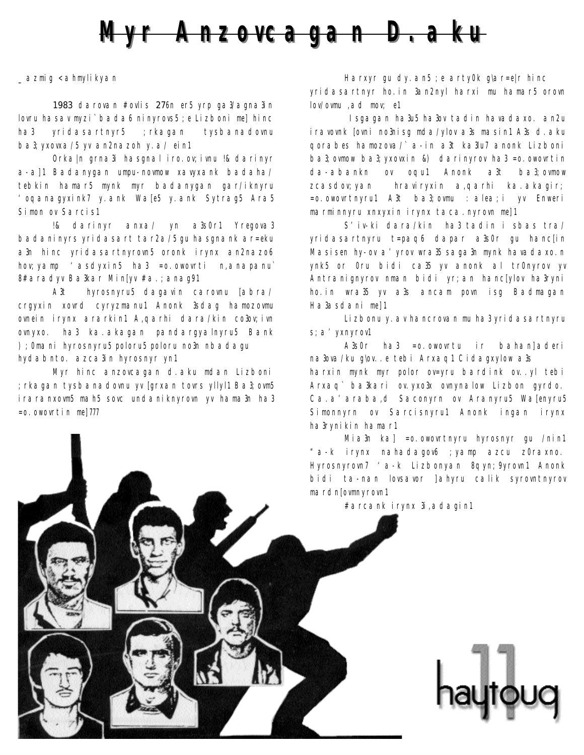

*\_azmig <ahmylikyan*

1983 darovan #ovlis 276n er5 yrp ga3/agna3in lovru hasav myzi` bada6 ninyrovs5 ;e Lizboni me] hinc ha3 yridasartnyr5 ;rkagan tysbanadovnu ba3;yxovxa/5 yv an2nazoh y.a/ ein1

Orka|n grna3i hasgnal iro.ov; ivnu !& darinyr a-a]1 Badanygan umpu-novmow xavyxank badaha/ tebkin hamar5 mynk myr badanygan gar/iknyru 'oqanagyxink7 y.ank Wa[e5 y.ank Sytrag5 Ara5 Simon ov Sarcis1

!& darinyr anxa/ yn a3s0r1 Yregova3 badaninyrs yridasart tar2a/5 gu hasgnank ar=eku a3n hinc yridasartnyrovn5 oronk irynx an2nazo6 hov;yamp 'asdyxin5 ha3 =o.owovrti n,anapanu` 8#aradyv Ba3kar Min[yv #a.;anag91

A3t hyrosnyru5 dagavin carovnu [abra/ crgyxin xovrd cyryzmanu1 Anonk 3sdag hamozovmu ovnein irynx ararkin1 A,qarhi dara/kin co3ov; ivn ovnyxo. ha3 ka.akagan pandargyalnyru5 Bank );0mani hyrosnyru5 poloru5 poloru no3n nbadagu hydabnto. azca3in hyrosnyr yn1

Myr hinc anzovcagan d.aku mdan Lizboni ;rkagan tysbanadovnu yv [grxan tovrs yllyl1 Ba3;ovm5 iraranxovm5 mah5 sovc undaniknyrovn yv hama3n ha3  $=$ o.owovrtin me $1777$ 

Harxyr gu dy. an5 ; e arty0k glar=e|r hinc yridasartnyr ho.in 3an2nyl harxi mu hamar5 orovn lov/ovmu ,ad mov; e1

Isgagan ha3u5 ha3ov tadin havadaxo. an2u iravovnk [ovni no3nisg mda/ylov a3s masin1 A3s d.aku qorabes hamozova/` a-in a3t ka3lu7 anonk Lizboni ba3;ovmow ba3;yxovxin &) darinyrov ha3 =o.owovrtin da-abankn ov oqu1 Anonk a3t ba3;ovmow zcasdov; yan hraviryxin a, qarhi ka akagir; =o.owovrtnyru1 A3t ba3;ovmu :alea;i yv Enweri marminnyru xnxyxin irynx taca.nyrovn me]1

S'iv-ki dara/kin ha3 tadin i sbas tra/ yridasartnyru t=paq6 dapar a3s0r gu hanc[in Masisen hy-ov a' yrov wra<sup>35</sup> saga3n mynk havadaxo.n ynk5 or 0ru bidi ca35 yv anonk al tr0nyrov yv Antranignyrov nman bidi yr;an hanc[ylov ha3ryni ho.in wra35 yv a3s ancam povn isg Badmagan Ha3asdani me]1

Lizbonu y. av hancrovan mu ha3 yridasartnyru s;a'yxnyrov1

A3s0r ha3 =o.owovrtu ir bahan]aderi na3ova/ku g\ov..e tebi Arxaq1 Cidagxylow a3s harxin mynk myr polor ov=yru bardink ov..yl tebi Arxaq` ba3kari ov.yxo3x ovnynalow Lizbon gyrdo. Ca.a'araba,d Saconyrn ov Aranyru5 Wa[enyru5 Simonnyrn ov Sarcisnyru1 Anonk ingan irynx ha3rynikin hamar1

Mia3n ka] =o.owovrtnyru hyrosnyr gu /nin1 "a-k irynx nahadagov6 ;yamp azcu z0raxno. Hyrosnyrovn7 'a-k Lizbonyan 8qyn;9yrovn1 Anonk bidi ta-nan lovsavor ]ahyru calik syrovntnyrov mardn[ovmnyrovn1

#arcank irynx 3i,adagin1

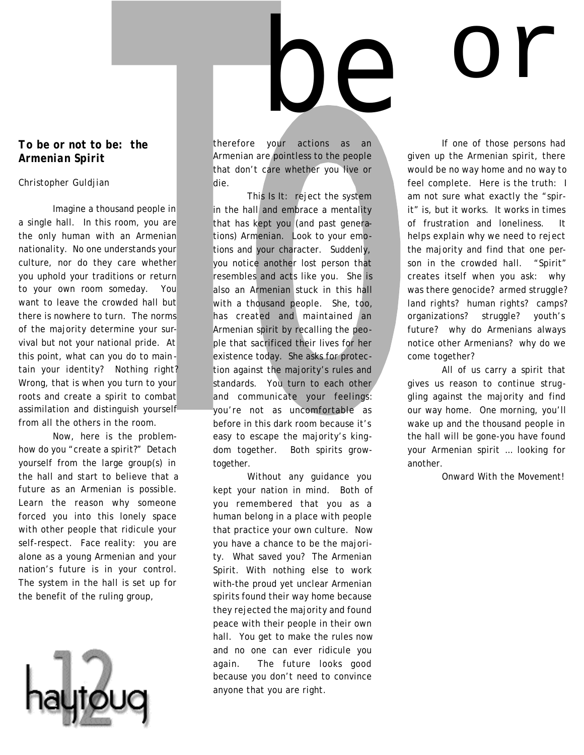#### *To be or not to be: the Armenian Spirit*

#### *Christopher Guldjian*

Imagine a thousand people in a single hall. In this room, you are the only human with an Armenian nationality. No one understands your culture, nor do they care whether you uphold your traditions or return to your own room someday. You want to leave the crowded hall but there is nowhere to turn. The norms of the majority determine your survival but not your national pride. At this point, what can you do to main tain your identity? Nothing right? Wrong, that is when you turn to your roots and create a spirit to combat assimilation and distinguish yourself from all the others in the room.

Now, here is the problemhow do you "create a spirit?" Detach yourself from the large group(s) in the hall and start to believe that a future as an Armenian is possible. Learn the reason why someone forced you into this lonely space with other people that ridicule your self-respect. Face reality: you are alone as a young Armenian and your nation's future is in your control. The system in the hall is set up for the benefit of the ruling group,



therefore your actions as an Armenian are pointless to the people that don't care whether you live or die.

be

This Is It: reject the system in the hall and embrace a mentality that has kept you (and past generations) Armenian. Look to your emotions and your character. Suddenly, you notice another lost person that resembles and acts like you. She is also an Armenian stuck in this hall with a thousand people. She, too, has created and maintained an Armenian spirit by recalling the people that sacrificed their lives for her existence today. She asks for protection against the majority's rules and standards. You turn to each other and communicate your feelings: you're not as uncomfortable as before in this dark room because it's easy to escape the majority's kingdom together. Both spirits growtogether.

Without any guidance you kept your nation in mind. Both of you remembered that you as a human belong in a place with people that practice your own culture. Now you have a chance to be the majority. What saved you? The Armenian Spirit. With nothing else to work with-the proud yet unclear Armenian spirits found their way home because they rejected the majority and found peace with their people in their own hall. You get to make the rules now and no one can ever ridicule you again. The future looks good because you don't need to convince anyone that you are right.

If one of those persons had given up the Armenian spirit, there would be no way home and no way to feel complete. Here is the truth: I am not sure what exactly the "spirit" is, but it works. It works in times of frustration and loneliness. It helps explain why we need to reject the majority and find that one person in the crowded hall. "Spirit" creates itself when you ask: why was there genocide? armed struggle? land rights? human rights? camps? organizations? struggle? youth's future? why do Armenians always notice other Armenians? why do we come together?

or

All of us carry a spirit that gives us reason to continue struggling against the majority and find our way home. One morning, you'll wake up and the thousand people in the hall will be gone-you have found your Armenian spirit … looking for another.

Onward With the Movement!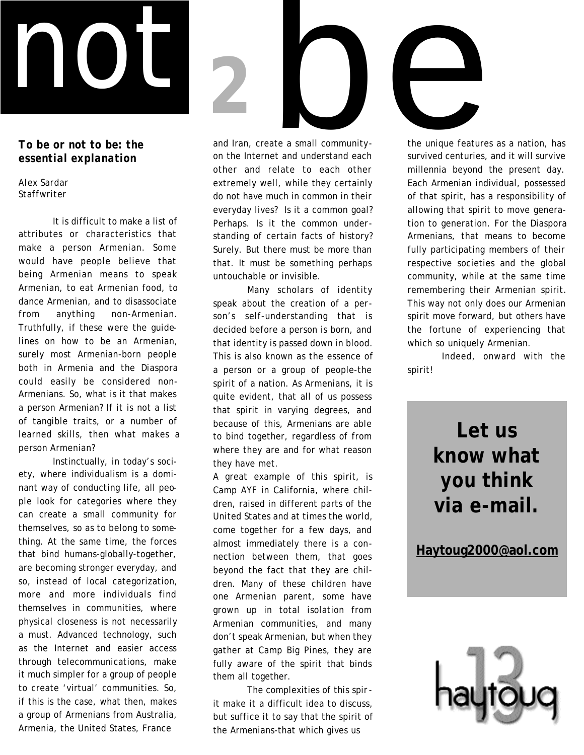

*To be or not to be: the essential explanation*

*Alex Sardar Staffwriter*

It is difficult to make a list of attributes or characteristics that make a person Armenian. Some would have people believe that being Armenian means to speak Armenian, to eat Armenian food, to dance Armenian, and to disassociate from anything non-Armenian. Truthfully, if these were the guidelines on how to be an Armenian, surely most Armenian-born people both in Armenia and the Diaspora could easily be considered non-Armenians. So, what is it that makes a person Armenian? If it is not a list of tangible traits, or a number of learned skills, then what makes a person Armenian?

Instinctually, in today's society, where individualism is a dominant way of conducting life, all people look for categories where they can create a small community for themselves, so as to belong to something. At the same time, the forces that bind humans-globally-together, are becoming stronger everyday, and so, instead of local categorization, more and more individuals find themselves in communities, where physical closeness is not necessarily a must. Advanced technology, such as the Internet and easier access through telecommunications, make it much simpler for a group of people to create 'virtual' communities. So, if this is the case, what then, makes a group of Armenians from Australia, Armenia, the United States, France

and Iran, create a small community on the Internet and understand each other and relate to each other extremely well, while they certainly do not have much in common in their everyday lives? Is it a common goal? Perhaps. Is it the common understanding of certain facts of history? Surely. But there must be more than that. It must be something perhaps untouchable or invisible.

Many scholars of identity speak about the creation of a person's self-understanding that is decided before a person is born, and that identity is passed down in blood. This is also known as the essence of a person or a group of people-the spirit of a nation. As Armenians, it is quite evident, that all of us possess that spirit in varying degrees, and because of this, Armenians are able to bind together, regardless of from where they are and for what reason they have met.

A great example of this spirit, is Camp AYF in California, where children, raised in different parts of the United States and at times the world, come together for a few days, and almost immediately there is a connection between them, that goes beyond the fact that they are children. Many of these children have one Armenian parent, some have grown up in total isolation from Armenian communities, and many don't speak Armenian, but when they gather at Camp Big Pines, they are fully aware of the spirit that binds them all together.

The complexities of this spirit make it a difficult idea to discuss, but suffice it to say that the spirit of the Armenians-that which gives us

the unique features as a nation, has survived centuries, and it will survive millennia beyond the present day. Each Armenian individual, possessed of that spirit, has a responsibility of allowing that spirit to move generation to generation. For the Diaspora Armenians, that means to become fully participating members of their respective societies and the global community, while at the same time remembering their Armenian spirit. This way not only does our Armenian spirit move forward, but others have the fortune of experiencing that which so uniquely Armenian.

Indeed, onward with the spirit!

## **Let us know what**  *you* **think via e-mail.**

**Haytoug2000@aol.com**

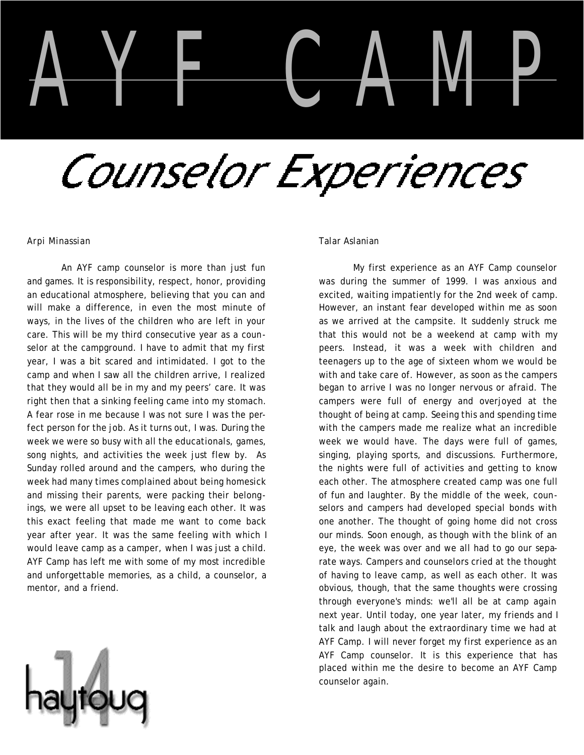# AYF CAMP

# Counselor Experiences

#### *Arpi Minassian*

An AYF camp counselor is more than just fun and games. It is responsibility, respect, honor, providing an educational atmosphere, believing that you can and will make a difference, in even the most minute of ways, in the lives of the children who are left in your care. This will be my third consecutive year as a counselor at the campground. I have to admit that my first year, I was a bit scared and intimidated. I got to the camp and when I saw all the children arrive, I realized that they would all be in my and my peers' care. It was right then that a sinking feeling came into my stomach. A fear rose in me because I was not sure I was the perfect person for the job. As it turns out, I was. During the week we were so busy with all the educationals, games, song nights, and activities the week just flew by. As Sunday rolled around and the campers, who during the week had many times complained about being homesick and missing their parents, were packing their belongings, we were all upset to be leaving each other. It was this exact feeling that made me want to come back year after year. It was the same feeling with which I would leave camp as a camper, when I was just a child. AYF Camp has left me with some of my most incredible and unforgettable memories, as a child, a counselor, a mentor, and a friend.



#### *Talar Aslanian*

My first experience as an AYF Camp counselor was during the summer of 1999. I was anxious and excited, waiting impatiently for the 2nd week of camp. However, an instant fear developed within me as soon as we arrived at the campsite. It suddenly struck me that this would not be a weekend at camp with my peers. Instead, it was a week with children and teenagers up to the age of sixteen whom we would be with and take care of. However, as soon as the campers began to arrive I was no longer nervous or afraid. The campers were full of energy and overjoyed at the thought of being at camp. Seeing this and spending time with the campers made me realize what an incredible week we would have. The days were full of games, singing, playing sports, and discussions. Furthermore, the nights were full of activities and getting to know each other. The atmosphere created camp was one full of fun and laughter. By the middle of the week, counselors and campers had developed special bonds with one another. The thought of going home did not cross our minds. Soon enough, as though with the blink of an eye, the week was over and we all had to go our separate ways. Campers and counselors cried at the thought of having to leave camp, as well as each other. It was obvious, though, that the same thoughts were crossing through everyone's minds: we'll all be at camp again next year. Until today, one year later, my friends and I talk and laugh about the extraordinary time we had at AYF Camp. I will never forget my first experience as an AYF Camp counselor. It is this experience that has placed within me the desire to become an AYF Camp counselor again.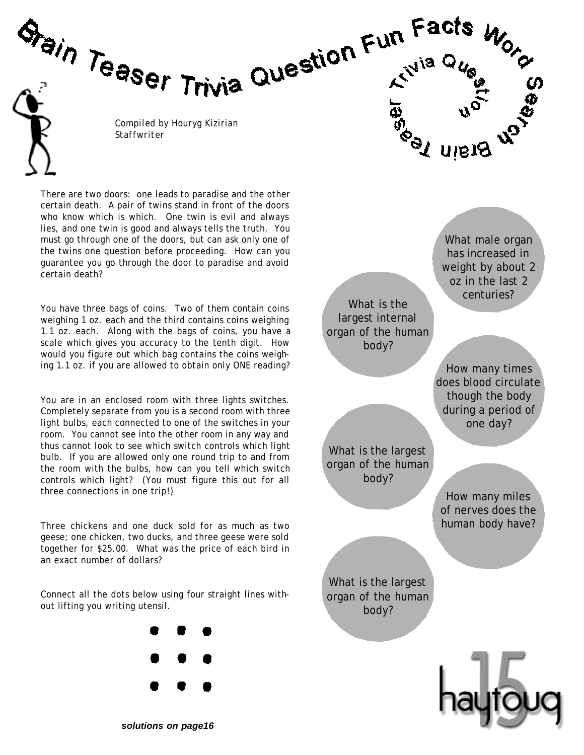*Compiled by Houryg Kizirian Staffwriter*

Stain Teaser Trivia Question Fun Facts

There are two doors: one leads to paradise and the other certain death. A pair of twins stand in front of the doors who know which is which. One twin is evil and always lies, and one twin is good and always tells the truth. You must go through one of the doors, but can ask only one of the twins one question before proceeding. How can you guarantee you go through the door to paradise and avoid certain death?

You have three bags of coins. Two of them contain coins weighing 1 oz. each and the third contains coins weighing 1.1 oz. each. Along with the bags of coins, you have a scale which gives you accuracy to the tenth digit. How would you figure out which bag contains the coins weighing 1.1 oz. if you are allowed to obtain only ONE reading?

You are in an enclosed room with three lights switches. Completely separate from you is a second room with three light bulbs, each connected to one of the switches in your room. You cannot see into the other room in any way and thus cannot look to see which switch controls which light bulb. If you are allowed only one round trip to and from the room with the bulbs, how can you tell which switch controls which light? (You must figure this out for all three connections in one trip!)

Three chickens and one duck sold for as much as two geese; one chicken, two ducks, and three geese were sold together for \$25.00. What was the price of each bird in an exact number of dollars?

Connect all the dots below using four straight lines without lifting you writing utensil.





បានរវ

*solutions on page16*